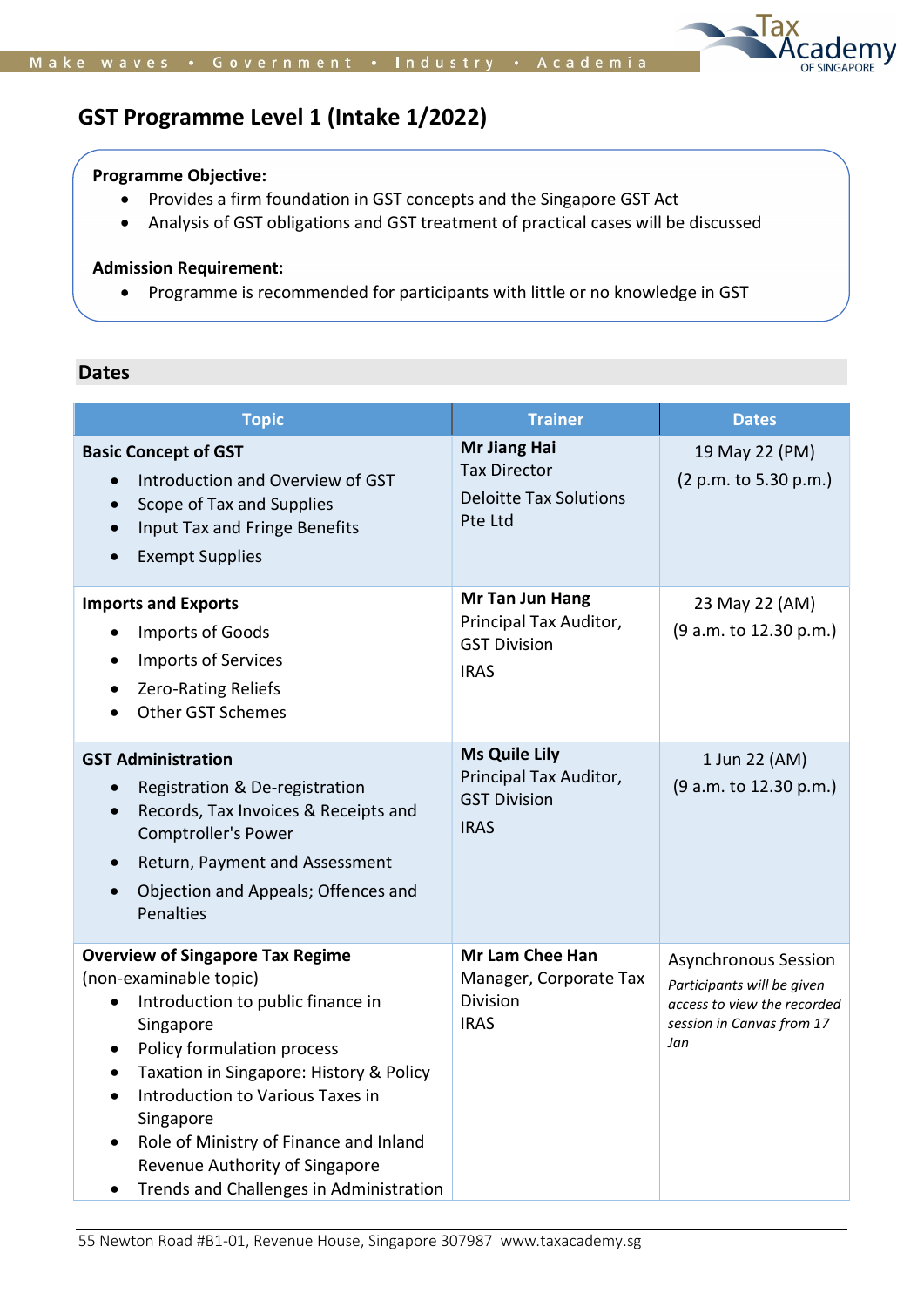

# GST Programme Level 1 (Intake 1/2022)

## Programme Objective:

- Provides a firm foundation in GST concepts and the Singapore GST Act
- Analysis of GST obligations and GST treatment of practical cases will be discussed

# Admission Requirement:

Programme is recommended for participants with little or no knowledge in GST

# Dates

| <b>Topic</b>                                                                                                                                                                                                                                                                                                                                                                                                                          | <b>Trainer</b>                                                                       | <b>Dates</b>                                                                                                                 |
|---------------------------------------------------------------------------------------------------------------------------------------------------------------------------------------------------------------------------------------------------------------------------------------------------------------------------------------------------------------------------------------------------------------------------------------|--------------------------------------------------------------------------------------|------------------------------------------------------------------------------------------------------------------------------|
| <b>Basic Concept of GST</b><br>Introduction and Overview of GST<br>$\bullet$<br>Scope of Tax and Supplies<br>$\bullet$<br>Input Tax and Fringe Benefits<br><b>Exempt Supplies</b>                                                                                                                                                                                                                                                     | Mr Jiang Hai<br><b>Tax Director</b><br><b>Deloitte Tax Solutions</b><br>Pte Ltd      | 19 May 22 (PM)<br>(2 p.m. to 5.30 p.m.)                                                                                      |
| <b>Imports and Exports</b><br>Imports of Goods<br><b>Imports of Services</b><br>$\bullet$<br><b>Zero-Rating Reliefs</b><br><b>Other GST Schemes</b>                                                                                                                                                                                                                                                                                   | Mr Tan Jun Hang<br>Principal Tax Auditor,<br><b>GST Division</b><br><b>IRAS</b>      | 23 May 22 (AM)<br>(9 a.m. to 12.30 p.m.)                                                                                     |
| <b>GST Administration</b><br>Registration & De-registration<br>Records, Tax Invoices & Receipts and<br>$\bullet$<br>Comptroller's Power<br>Return, Payment and Assessment<br>Objection and Appeals; Offences and<br>Penalties                                                                                                                                                                                                         | <b>Ms Quile Lily</b><br>Principal Tax Auditor,<br><b>GST Division</b><br><b>IRAS</b> | 1 Jun 22 (AM)<br>(9 a.m. to 12.30 p.m.)                                                                                      |
| <b>Overview of Singapore Tax Regime</b><br>(non-examinable topic)<br>Introduction to public finance in<br>$\bullet$<br>Singapore<br>Policy formulation process<br>$\bullet$<br>Taxation in Singapore: History & Policy<br>$\bullet$<br>Introduction to Various Taxes in<br>$\bullet$<br>Singapore<br>Role of Ministry of Finance and Inland<br>$\bullet$<br>Revenue Authority of Singapore<br>Trends and Challenges in Administration | <b>Mr Lam Chee Han</b><br>Manager, Corporate Tax<br>Division<br><b>IRAS</b>          | <b>Asynchronous Session</b><br>Participants will be given<br>access to view the recorded<br>session in Canvas from 17<br>Jan |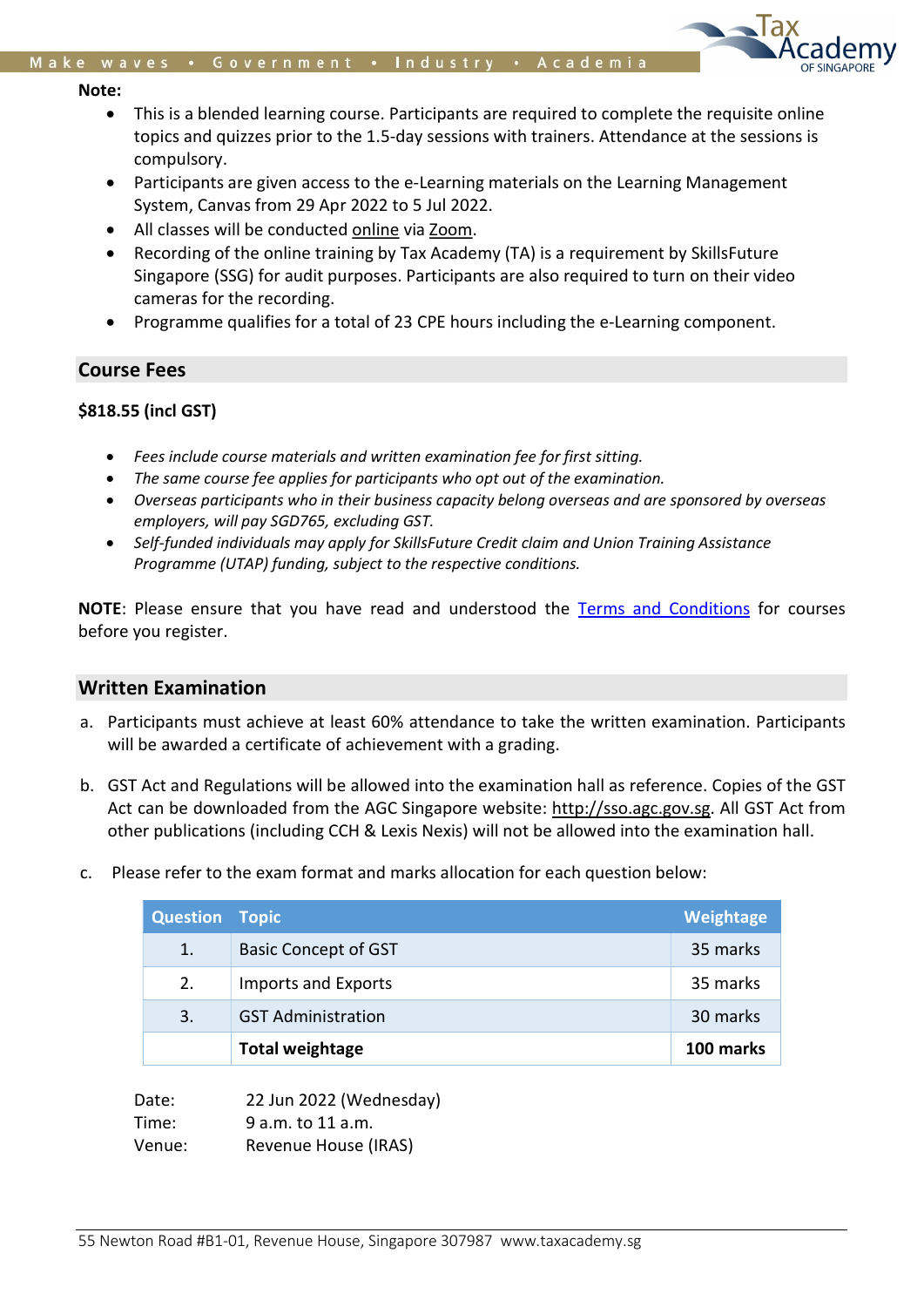#### Note:

- This is a blended learning course. Participants are required to complete the requisite online topics and quizzes prior to the 1.5-day sessions with trainers. Attendance at the sessions is compulsory.
- Participants are given access to the e-Learning materials on the Learning Management System, Canvas from 29 Apr 2022 to 5 Jul 2022.
- All classes will be conducted online via Zoom.
- Recording of the online training by Tax Academy (TA) is a requirement by SkillsFuture Singapore (SSG) for audit purposes. Participants are also required to turn on their video cameras for the recording.
- Programme qualifies for a total of 23 CPE hours including the e-Learning component.

## Course Fees

## \$818.55 (incl GST)

- Fees include course materials and written examination fee for first sitting.
- The same course fee applies for participants who opt out of the examination.
- Overseas participants who in their business capacity belong overseas and are sponsored by overseas employers, will pay SGD765, excluding GST.
- Self-funded individuals may apply for SkillsFuture Credit claim and Union Training Assistance Programme (UTAP) funding, subject to the respective conditions.

NOTE: Please ensure that you have read and understood the Terms and Conditions for courses before you register.

## Written Examination

- a. Participants must achieve at least 60% attendance to take the written examination. Participants will be awarded a certificate of achievement with a grading.
- b. GST Act and Regulations will be allowed into the examination hall as reference. Copies of the GST Act can be downloaded from the AGC Singapore website: http://sso.agc.gov.sg. All GST Act from other publications (including CCH & Lexis Nexis) will not be allowed into the examination hall.
- c. Please refer to the exam format and marks allocation for each question below:

| <b>Question Topic</b> |                             | Weightage |
|-----------------------|-----------------------------|-----------|
| 1.                    | <b>Basic Concept of GST</b> | 35 marks  |
| 2.                    | <b>Imports and Exports</b>  | 35 marks  |
| 3.                    | <b>GST Administration</b>   | 30 marks  |
|                       | <b>Total weightage</b>      | 100 marks |

| Date:  | 22 Jun 2022 (Wednesday) |
|--------|-------------------------|
| Time:  | 9 a.m. to 11 a.m.       |
| Venue: | Revenue House (IRAS)    |